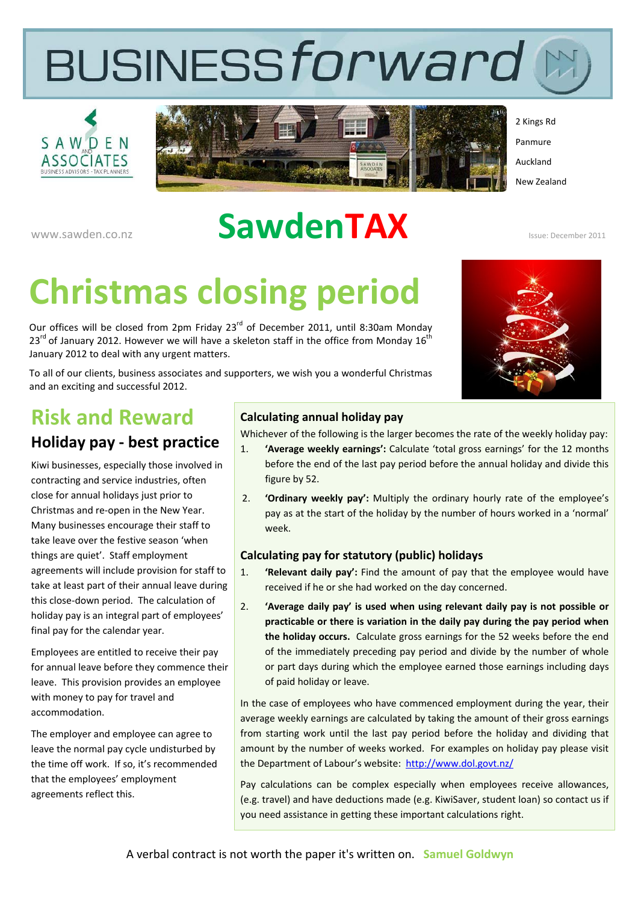# BUSINESSforward





2 Kings Rd Panmure Auckland New Zealand

www.sawden.co.nz **Sawden.co.nz** Sawden.co.nz

## **Christmas closing period**

Our offices will be closed from 2pm Friday 23<sup>rd</sup> of December 2011, until 8:30am Monday  $23<sup>rd</sup>$  of January 2012. However we will have a skeleton staff in the office from Monday 16<sup>th</sup> January 2012 to deal with any urgent matters.

To all of our clients, business associates and supporters, we wish you a wonderful Christmas and an exciting and successful 2012.



### **Risk and Reward**

#### **Holiday pay ‐ best practice**

Kiwi businesses, especially those involved in contracting and service industries, often close for annual holidays just prior to Christmas and re‐open in the New Year. Many businesses encourage their staff to take leave over the festive season 'when things are quiet'. Staff employment agreements will include provision for staff to take at least part of their annual leave during this close‐down period. The calculation of holiday pay is an integral part of employees' final pay for the calendar year.

Employees are entitled to receive their pay for annual leave before they commence their leave. This provision provides an employee with money to pay for travel and accommodation.

The employer and employee can agree to leave the normal pay cycle undisturbed by the time off work. If so, it's recommended that the employees' employment agreements reflect this.

#### **Calculating annual holiday pay**

Whichever of the following is the larger becomes the rate of the weekly holiday pay:

- 1. **'Average weekly earnings':** Calculate 'total gross earnings' for the 12 months before the end of the last pay period before the annual holiday and divide this figure by 52.
- 2. **'Ordinary weekly pay':** Multiply the ordinary hourly rate of the employee's pay as at the start of the holiday by the number of hours worked in a 'normal' week.

#### **Calculating pay for statutory (public) holidays**

- 1. **'Relevant daily pay':** Find the amount of pay that the employee would have received if he or she had worked on the day concerned.
- 2. **'Average daily pay' is used when using relevant daily pay is not possible or practicable or there is variation in the daily pay during the pay period when the holiday occurs.** Calculate gross earnings for the 52 weeks before the end of the immediately preceding pay period and divide by the number of whole or part days during which the employee earned those earnings including days of paid holiday or leave.

In the case of employees who have commenced employment during the year, their average weekly earnings are calculated by taking the amount of their gross earnings from starting work until the last pay period before the holiday and dividing that amount by the number of weeks worked. For examples on holiday pay please visit the Department of Labour's website: http://www.dol.govt.nz/

Pay calculations can be complex especially when employees receive allowances, (e.g. travel) and have deductions made (e.g. KiwiSaver, student loan) so contact us if you need assistance in getting these important calculations right.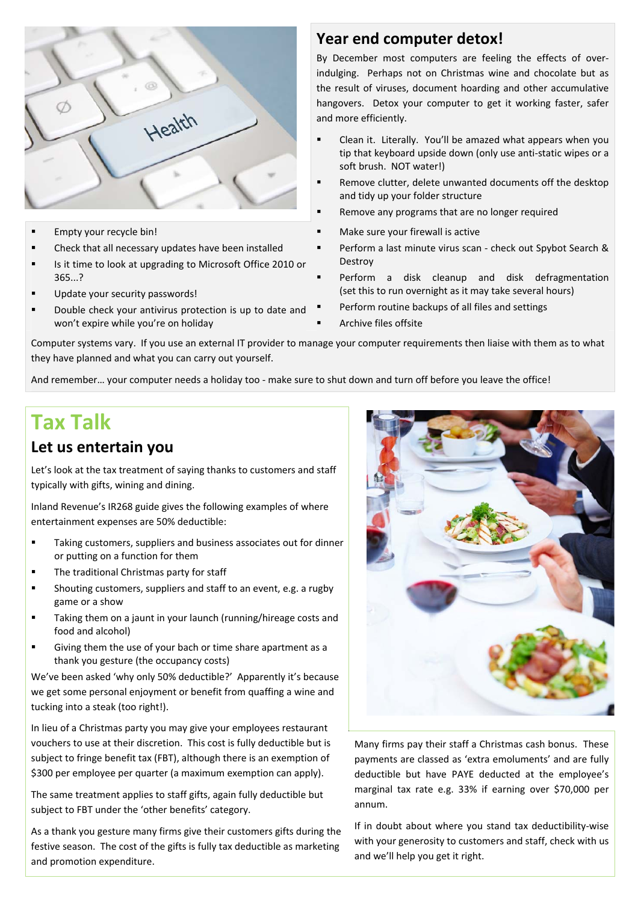

- Empty your recycle bin!
- Check that all necessary updates have been installed
- Is it time to look at upgrading to Microsoft Office 2010 or 365...?
- Update your security passwords!
- Double check your antivirus protection is up to date and won't expire while you're on holiday

#### **Year end computer detox!**

By December most computers are feeling the effects of over‐ indulging. Perhaps not on Christmas wine and chocolate but as the result of viruses, document hoarding and other accumulative hangovers. Detox your computer to get it working faster, safer and more efficiently.

- Clean it. Literally. You'll be amazed what appears when you tip that keyboard upside down (only use anti‐static wipes or a soft brush. NOT water!)
- Remove clutter, delete unwanted documents off the desktop and tidy up your folder structure
- Remove any programs that are no longer required
- Make sure your firewall is active
- Perform a last minute virus scan ‐ check out Spybot Search & Destroy
- Perform a disk cleanup and disk defragmentation (set this to run overnight as it may take several hours)
- Perform routine backups of all files and settings
- Archive files offsite

Computer systems vary. If you use an external IT provider to manage your computer requirements then liaise with them as to what they have planned and what you can carry out yourself.

And remember... your computer needs a holiday too - make sure to shut down and turn off before you leave the office!

#### **Tax Talk**

#### **Let us entertain you**

Let's look at the tax treatment of saying thanks to customers and staff typically with gifts, wining and dining.

Inland Revenue's IR268 guide gives the following examples of where entertainment expenses are 50% deductible:

- Taking customers, suppliers and business associates out for dinner or putting on a function for them
- The traditional Christmas party for staff
- Shouting customers, suppliers and staff to an event, e.g. a rugby game or a show
- **Taking them on a jaunt in your launch (running/hireage costs and** food and alcohol)
- Giving them the use of your bach or time share apartment as a thank you gesture (the occupancy costs)

We've been asked 'why only 50% deductible?' Apparently it's because we get some personal enjoyment or benefit from quaffing a wine and tucking into a steak (too right!).

In lieu of a Christmas party you may give your employees restaurant vouchers to use at their discretion. This cost is fully deductible but is subject to fringe benefit tax (FBT), although there is an exemption of \$300 per employee per quarter (a maximum exemption can apply).

The same treatment applies to staff gifts, again fully deductible but subject to FBT under the 'other benefits' category.

As a thank you gesture many firms give their customers gifts during the festive season. The cost of the gifts is fully tax deductible as marketing and promotion expenditure.



Many firms pay their staff a Christmas cash bonus. These payments are classed as 'extra emoluments' and are fully deductible but have PAYE deducted at the employee's marginal tax rate e.g. 33% if earning over \$70,000 per annum.

If in doubt about where you stand tax deductibility‐wise with your generosity to customers and staff, check with us and we'll help you get it right.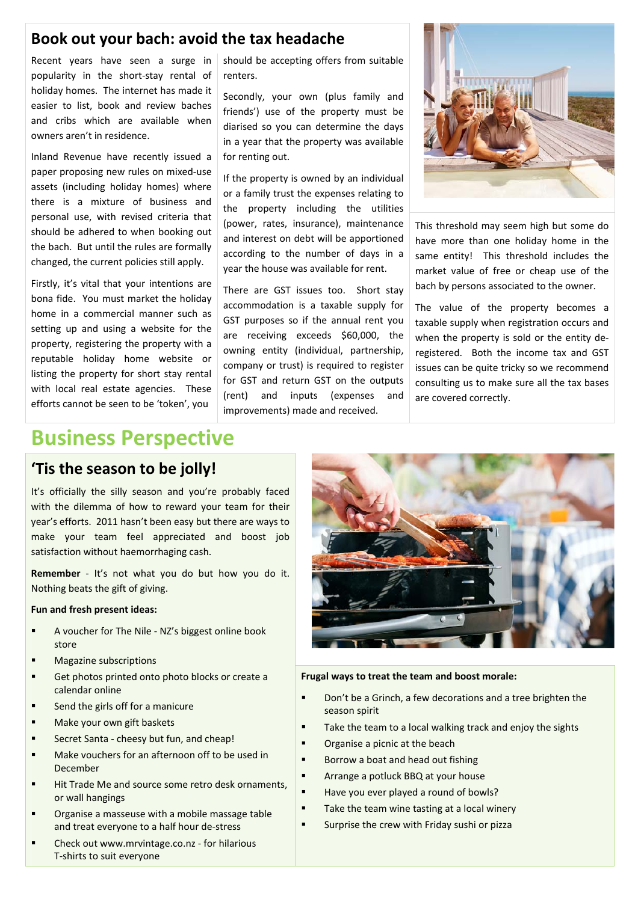#### **Book out your bach: avoid the tax headache**

Recent years have seen a surge in popularity in the short‐stay rental of holiday homes. The internet has made it easier to list, book and review baches and cribs which are available when owners aren't in residence.

Inland Revenue have recently issued a paper proposing new rules on mixed‐use assets (including holiday homes) where there is a mixture of business and personal use, with revised criteria that should be adhered to when booking out the bach. But until the rules are formally changed, the current policies still apply.

Firstly, it's vital that your intentions are bona fide. You must market the holiday home in a commercial manner such as setting up and using a website for the property, registering the property with a reputable holiday home website or listing the property for short stay rental with local real estate agencies. These efforts cannot be seen to be 'token', you

should be accepting offers from suitable renters.

Secondly, your own (plus family and friends') use of the property must be diarised so you can determine the days in a year that the property was available for renting out.

If the property is owned by an individual or a family trust the expenses relating to the property including the utilities (power, rates, insurance), maintenance and interest on debt will be apportioned according to the number of days in a year the house was available for rent.

There are GST issues too. Short stay accommodation is a taxable supply for GST purposes so if the annual rent you are receiving exceeds \$60,000, the owning entity (individual, partnership, company or trust) is required to register for GST and return GST on the outputs (rent) and inputs (expenses and improvements) made and received.



This threshold may seem high but some do have more than one holiday home in the same entity! This threshold includes the market value of free or cheap use of the bach by persons associated to the owner.

The value of the property becomes a taxable supply when registration occurs and when the property is sold or the entity deregistered. Both the income tax and GST issues can be quite tricky so we recommend consulting us to make sure all the tax bases are covered correctly.

#### **Business Perspective**

#### **'Tis the season to be jolly!**

It's officially the silly season and you're probably faced with the dilemma of how to reward your team for their year's efforts. 2011 hasn't been easy but there are ways to make your team feel appreciated and boost job satisfaction without haemorrhaging cash.

**Remember** - It's not what you do but how you do it. Nothing beats the gift of giving.

#### **Fun and fresh present ideas:**

- A voucher for The Nile NZ's biggest online book store
- **Magazine subscriptions**
- Get photos printed onto photo blocks or create a calendar online
- Send the girls off for a manicure
- Make your own gift baskets
- Secret Santa cheesy but fun, and cheap!
- Make vouchers for an afternoon off to be used in December
- Hit Trade Me and source some retro desk ornaments, or wall hangings
- Organise a masseuse with a mobile massage table and treat everyone to a half hour de‐stress
- Check out www.mrvintage.co.nz for hilarious T‐shirts to suit everyone



**Frugal ways to treat the team and boost morale:**

- **•** Don't be a Grinch, a few decorations and a tree brighten the season spirit
- **Take the team to a local walking track and enjoy the sights**
- **•** Organise a picnic at the beach
- Borrow a boat and head out fishing
- Arrange a potluck BBQ at your house
- Have you ever played a round of bowls?
- Take the team wine tasting at a local winery
- **Surprise the crew with Friday sushi or pizza**